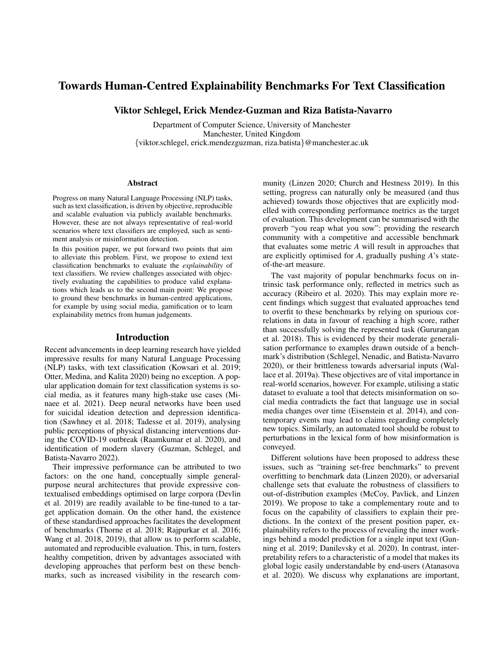# Towards Human-Centred Explainability Benchmarks For Text Classification

Viktor Schlegel, Erick Mendez-Guzman and Riza Batista-Navarro

Department of Computer Science, University of Manchester Manchester, United Kingdom {viktor.schlegel, erick.mendezguzman, riza.batista}@manchester.ac.uk

#### Abstract

Progress on many Natural Language Processing (NLP) tasks, such as text classification, is driven by objective, reproducible and scalable evaluation via publicly available benchmarks. However, these are not always representative of real-world scenarios where text classifiers are employed, such as sentiment analysis or misinformation detection.

In this position paper, we put forward two points that aim to alleviate this problem. First, we propose to extend text classification benchmarks to evaluate the *explainability* of text classifiers. We review challenges associated with objectively evaluating the capabilities to produce valid explanations which leads us to the second main point: We propose to ground these benchmarks in human-centred applications, for example by using social media, gamification or to learn explainability metrics from human judgements.

#### **Introduction**

Recent advancements in deep learning research have yielded impressive results for many Natural Language Processing (NLP) tasks, with text classification (Kowsari et al. 2019; Otter, Medina, and Kalita 2020) being no exception. A popular application domain for text classification systems is social media, as it features many high-stake use cases (Minaee et al. 2021). Deep neural networks have been used for suicidal ideation detection and depression identification (Sawhney et al. 2018; Tadesse et al. 2019), analysing public perceptions of physical distancing interventions during the COVID-19 outbreak (Raamkumar et al. 2020), and identification of modern slavery (Guzman, Schlegel, and Batista-Navarro 2022).

Their impressive performance can be attributed to two factors: on the one hand, conceptually simple generalpurpose neural architectures that provide expressive contextualised embeddings optimised on large corpora (Devlin et al. 2019) are readily available to be fine-tuned to a target application domain. On the other hand, the existence of these standardised approaches facilitates the development of benchmarks (Thorne et al. 2018; Rajpurkar et al. 2016; Wang et al. 2018, 2019), that allow us to perform scalable, automated and reproducible evaluation. This, in turn, fosters healthy competition, driven by advantages associated with developing approaches that perform best on these benchmarks, such as increased visibility in the research community (Linzen 2020; Church and Hestness 2019). In this setting, progress can naturally only be measured (and thus achieved) towards those objectives that are explicitly modelled with corresponding performance metrics as the target of evaluation. This development can be summarised with the proverb "you reap what you sow": providing the research community with a competitive and accessible benchmark that evaluates some metric *A* will result in approaches that are explicitly optimised for *A*, gradually pushing *A*'s stateof-the-art measure.

The vast majority of popular benchmarks focus on intrinsic task performance only, reflected in metrics such as accuracy (Ribeiro et al. 2020). This may explain more recent findings which suggest that evaluated approaches tend to overfit to these benchmarks by relying on spurious correlations in data in favour of reaching a high score, rather than successfully solving the represented task (Gururangan et al. 2018). This is evidenced by their moderate generalisation performance to examples drawn outside of a benchmark's distribution (Schlegel, Nenadic, and Batista-Navarro 2020), or their brittleness towards adversarial inputs (Wallace et al. 2019a). These objectives are of vital importance in real-world scenarios, however. For example, utilising a static dataset to evaluate a tool that detects misinformation on social media contradicts the fact that language use in social media changes over time (Eisenstein et al. 2014), and contemporary events may lead to claims regarding completely new topics. Similarly, an automated tool should be robust to perturbations in the lexical form of how misinformation is conveyed.

Different solutions have been proposed to address these issues, such as "training set-free benchmarks" to prevent overfitting to benchmark data (Linzen 2020), or adversarial challenge sets that evaluate the robustness of classifiers to out-of-distribution examples (McCoy, Pavlick, and Linzen 2019). We propose to take a complementary route and to focus on the capability of classifiers to explain their predictions. In the context of the present position paper, explainability refers to the process of revealing the inner workings behind a model prediction for a single input text (Gunning et al. 2019; Danilevsky et al. 2020). In contrast, interpretability refers to a characteristic of a model that makes its global logic easily understandable by end-users (Atanasova et al. 2020). We discuss why explanations are important,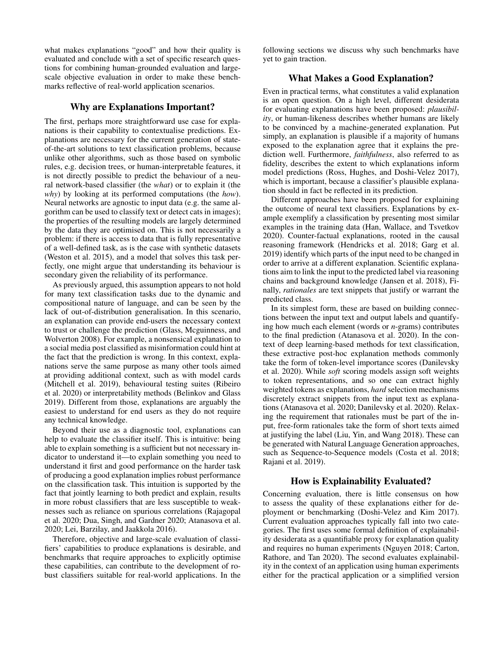what makes explanations "good" and how their quality is evaluated and conclude with a set of specific research questions for combining human-grounded evaluation and largescale objective evaluation in order to make these benchmarks reflective of real-world application scenarios.

#### Why are Explanations Important?

The first, perhaps more straightforward use case for explanations is their capability to contextualise predictions. Explanations are necessary for the current generation of stateof-the-art solutions to text classification problems, because unlike other algorithms, such as those based on symbolic rules, e.g. decision trees, or human-interpretable features, it is not directly possible to predict the behaviour of a neural network-based classifier (the *what*) or to explain it (the *why*) by looking at its performed computations (the *how*). Neural networks are agnostic to input data (e.g. the same algorithm can be used to classify text or detect cats in images); the properties of the resulting models are largely determined by the data they are optimised on. This is not necessarily a problem: if there is access to data that is fully representative of a well-defined task, as is the case with synthetic datasets (Weston et al. 2015), and a model that solves this task perfectly, one might argue that understanding its behaviour is secondary given the reliability of its performance.

As previously argued, this assumption appears to not hold for many text classification tasks due to the dynamic and compositional nature of language, and can be seen by the lack of out-of-distribution generalisation. In this scenario, an explanation can provide end-users the necessary context to trust or challenge the prediction (Glass, Mcguinness, and Wolverton 2008). For example, a nonsensical explanation to a social media post classified as misinformation could hint at the fact that the prediction is wrong. In this context, explanations serve the same purpose as many other tools aimed at providing additional context, such as with model cards (Mitchell et al. 2019), behavioural testing suites (Ribeiro et al. 2020) or interpretability methods (Belinkov and Glass 2019). Different from those, explanations are arguably the easiest to understand for end users as they do not require any technical knowledge.

Beyond their use as a diagnostic tool, explanations can help to evaluate the classifier itself. This is intuitive: being able to explain something is a sufficient but not necessary indicator to understand it—to explain something you need to understand it first and good performance on the harder task of producing a good explanation implies robust performance on the classification task. This intuition is supported by the fact that jointly learning to both predict and explain, results in more robust classifiers that are less susceptible to weaknesses such as reliance on spurious correlations (Rajagopal et al. 2020; Dua, Singh, and Gardner 2020; Atanasova et al. 2020; Lei, Barzilay, and Jaakkola 2016).

Therefore, objective and large-scale evaluation of classifiers' capabilities to produce explanations is desirable, and benchmarks that require approaches to explicitly optimise these capabilities, can contribute to the development of robust classifiers suitable for real-world applications. In the

following sections we discuss why such benchmarks have yet to gain traction.

## What Makes a Good Explanation?

Even in practical terms, what constitutes a valid explanation is an open question. On a high level, different desiderata for evaluating explanations have been proposed: *plausibility*, or human-likeness describes whether humans are likely to be convinced by a machine-generated explanation. Put simply, an explanation is plausible if a majority of humans exposed to the explanation agree that it explains the prediction well. Furthermore, *faithfulness*, also referred to as fidelity, describes the extent to which explanations inform model predictions (Ross, Hughes, and Doshi-Velez 2017), which is important, because a classifier's plausible explanation should in fact be reflected in its prediction.

Different approaches have been proposed for explaining the outcome of neural text classifiers. Explanations by example exemplify a classification by presenting most similar examples in the training data (Han, Wallace, and Tsvetkov 2020). Counter-factual explanations, rooted in the causal reasoning framework (Hendricks et al. 2018; Garg et al. 2019) identify which parts of the input need to be changed in order to arrive at a different explanation. Scientific explanations aim to link the input to the predicted label via reasoning chains and background knowledge (Jansen et al. 2018), Finally, *rationales* are text snippets that justify or warrant the predicted class.

In its simplest form, these are based on building connections between the input text and output labels and quantifying how much each element (words or *n*-grams) contributes to the final prediction (Atanasova et al. 2020). In the context of deep learning-based methods for text classification, these extractive post-hoc explanation methods commonly take the form of token-level importance scores (Danilevsky et al. 2020). While *soft* scoring models assign soft weights to token representations, and so one can extract highly weighted tokens as explanations, *hard* selection mechanisms discretely extract snippets from the input text as explanations (Atanasova et al. 2020; Danilevsky et al. 2020). Relaxing the requirement that rationales must be part of the input, free-form rationales take the form of short texts aimed at justifying the label (Liu, Yin, and Wang 2018). These can be generated with Natural Language Generation approaches, such as Sequence-to-Sequence models (Costa et al. 2018; Rajani et al. 2019).

## How is Explainability Evaluated?

Concerning evaluation, there is little consensus on how to assess the quality of these explanations either for deployment or benchmarking (Doshi-Velez and Kim 2017). Current evaluation approaches typically fall into two categories. The first uses some formal definition of explainability desiderata as a quantifiable proxy for explanation quality and requires no human experiments (Nguyen 2018; Carton, Rathore, and Tan 2020). The second evaluates explainability in the context of an application using human experiments either for the practical application or a simplified version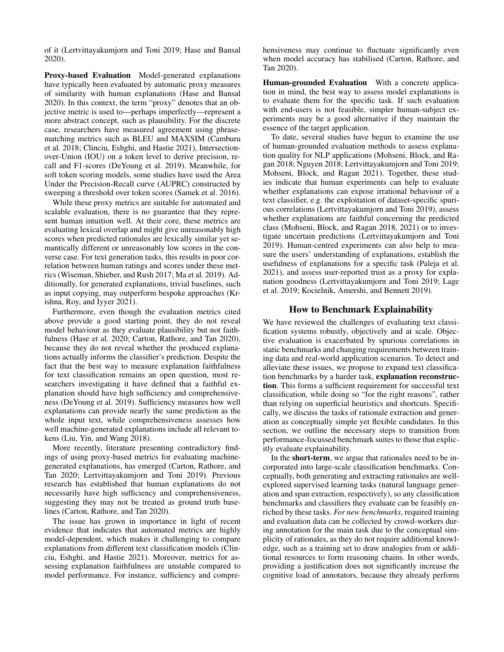of it (Lertvittayakumjorn and Toni 2019; Hase and Bansal 2020).

Proxy-based Evaluation Model-generated explanations have typically been evaluated by automatic proxy measures of similarity with human explanations (Hase and Bansal 2020). In this context, the term "proxy" denotes that an objective metric is used to—perhaps imperfectly—represent a more abstract concept, such as plausibility. For the discrete case, researchers have measured agreement using phrasematching metrics such as BLEU and MAXSIM (Camburu et al. 2018; Clinciu, Eshghi, and Hastie 2021), Intersectionover-Union (IOU) on a token level to derive precision, recall and F1-scores (DeYoung et al. 2019). Meanwhile, for soft token scoring models, some studies have used the Area Under the Precision-Recall curve (AUPRC) constructed by sweeping a threshold over token scores (Samek et al. 2016).

While these proxy metrics are suitable for automated and scalable evaluation, there is no guarantee that they represent human intuition well. At their core, these metrics are evaluating lexical overlap and might give unreasonably high scores when predicted rationales are lexically similar yet semantically different or unreasonably low scores in the converse case. For text generation tasks, this results in poor correlation between human ratings and scores under these metrics (Wiseman, Shieber, and Rush 2017; Ma et al. 2019). Additionally, for generated explanations, trivial baselines, such as input copying, may outperform bespoke approaches (Krishna, Roy, and Iyyer 2021).

Furthermore, even though the evaluation metrics cited above provide a good starting point, they do not reveal model behaviour as they evaluate plausibility but not faithfulness (Hase et al. 2020; Carton, Rathore, and Tan 2020), because they do not reveal whether the produced explanations actually informs the classifier's prediction. Despite the fact that the best way to measure explanation faithfulness for text classification remains an open question, most researchers investigating it have defined that a faithful explanation should have high sufficiency and comprehensiveness (DeYoung et al. 2019). Sufficiency measures how well explanations can provide nearly the same prediction as the whole input text, while comprehensiveness assesses how well machine-generated explanations include all relevant tokens (Liu, Yin, and Wang 2018).

More recently, literature presenting contradictory findings of using proxy-based metrics for evaluating machinegenerated explanations, has emerged (Carton, Rathore, and Tan 2020; Lertvittayakumjorn and Toni 2019). Previous research has established that human explanations do not necessarily have high sufficiency and comprehensiveness, suggesting they may not be treated as ground truth baselines (Carton, Rathore, and Tan 2020).

The issue has grown in importance in light of recent evidence that indicates that automated metrics are highly model-dependent, which makes it challenging to compare explanations from different text classification models (Clinciu, Eshghi, and Hastie 2021). Moreover, metrics for assessing explanation faithfulness are unstable compared to model performance. For instance, sufficiency and comprehensiveness may continue to fluctuate significantly even when model accuracy has stabilised (Carton, Rathore, and Tan 2020).

Human-grounded Evaluation With a concrete application in mind, the best way to assess model explanations is to evaluate them for the specific task. If such evaluation with end-users is not feasible, simpler human-subject experiments may be a good alternative if they maintain the essence of the target application.

To date, several studies have begun to examine the use of human-grounded evaluation methods to assess explanation quality for NLP applications (Mohseni, Block, and Ragan 2018; Nguyen 2018; Lertvittayakumjorn and Toni 2019; Mohseni, Block, and Ragan 2021). Together, these studies indicate that human experiments can help to evaluate whether explanations can expose irrational behaviour of a text classifier, e.g. the exploitation of dataset-specific spurious correlations (Lertvittayakumjorn and Toni 2019), assess whether explanations are faithful concerning the predicted class (Mohseni, Block, and Ragan 2018, 2021) or to investigate uncertain predictions (Lertvittayakumjorn and Toni 2019). Human-centred experiments can also help to measure the users' understanding of explanations, establish the usefulness of explanations for a specific task (Paleja et al. 2021), and assess user-reported trust as a proxy for explanation goodness (Lertvittayakumjorn and Toni 2019; Lage et al. 2019; Kocielnik, Amershi, and Bennett 2019).

### How to Benchmark Explainability

We have reviewed the challenges of evaluating text classification systems robustly, objectively and at scale. Objective evaluation is exacerbated by spurious correlations in static benchmarks and changing requirements between training data and real-world application scenarios. To detect and alleviate these issues, we propose to expand text classification benchmarks by a harder task, explanation reconstruction. This forms a sufficient requirement for successful text classification, while doing so "for the right reasons", rather than relying on superficial heuristics and shortcuts. Specifically, we discuss the tasks of rationale extraction and generation as conceptually simple yet flexible candidates. In this section, we outline the necessary steps to transition from performance-focussed benchmark suites to those that explicitly evaluate explainability.

In the short-term, we argue that rationales need to be incorporated into large-scale classification benchmarks. Conceptually, both generating and extracting rationales are wellexplored supervised learning tasks (natural language generation and span extraction, respectively), so any classification benchmarks and classifiers they evaluate can be feasibly enriched by these tasks. *For new benchmarks*, required training and evaluation data can be collected by crowd-workers during annotation for the main task due to the conceptual simplicity of rationales, as they do not require additional knowledge, such as a training set to draw analogies from or additional resources to form reasoning chains. In other words, providing a justification does not significantly increase the cognitive load of annotators, because they already perform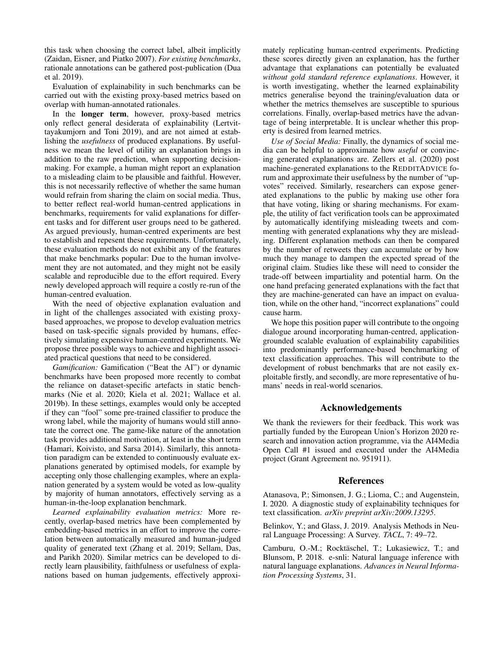this task when choosing the correct label, albeit implicitly (Zaidan, Eisner, and Piatko 2007). *For existing benchmarks*, rationale annotations can be gathered post-publication (Dua et al. 2019).

Evaluation of explainability in such benchmarks can be carried out with the existing proxy-based metrics based on overlap with human-annotated rationales.

In the longer term, however, proxy-based metrics only reflect general desiderata of explainability (Lertvittayakumjorn and Toni 2019), and are not aimed at establishing the *usefulness* of produced explanations. By usefulness we mean the level of utility an explanation brings in addition to the raw prediction, when supporting decisionmaking. For example, a human might report an explanation to a misleading claim to be plausible and faithful. However, this is not necessarily reflective of whether the same human would refrain from sharing the claim on social media. Thus, to better reflect real-world human-centred applications in benchmarks, requirements for valid explanations for different tasks and for different user groups need to be gathered. As argued previously, human-centred experiments are best to establish and repesent these requirements. Unfortunately, these evaluation methods do not exhibit any of the features that make benchmarks popular: Due to the human involvement they are not automated, and they might not be easily scalable and reproducible due to the effort required. Every newly developed approach will require a costly re-run of the human-centred evaluation.

With the need of objective explanation evaluation and in light of the challenges associated with existing proxybased approaches, we propose to develop evaluation metrics based on task-specific signals provided by humans, effectively simulating expensive human-centred experiments. We propose three possible ways to achieve and highlight associated practical questions that need to be considered.

*Gamification:* Gamification ("Beat the AI") or dynamic benchmarks have been proposed more recently to combat the reliance on dataset-specific artefacts in static benchmarks (Nie et al. 2020; Kiela et al. 2021; Wallace et al. 2019b). In these settings, examples would only be accepted if they can "fool" some pre-trained classifier to produce the wrong label, while the majority of humans would still annotate the correct one. The game-like nature of the annotation task provides additional motivation, at least in the short term (Hamari, Koivisto, and Sarsa 2014). Similarly, this annotation paradigm can be extended to continuously evaluate explanations generated by optimised models, for example by accepting only those challenging examples, where an explanation generated by a system would be voted as low-quality by majority of human annotators, effectively serving as a human-in-the-loop explanation benchmark.

*Learned explainability evaluation metrics:* More recently, overlap-based metrics have been complemented by embedding-based metrics in an effort to improve the correlation between automatically measured and human-judged quality of generated text (Zhang et al. 2019; Sellam, Das, and Parikh 2020). Similar metrics can be developed to directly learn plausibility, faithfulness or usefulness of explanations based on human judgements, effectively approxi-

mately replicating human-centred experiments. Predicting these scores directly given an explanation, has the further advantage that explanations can potentially be evaluated *without gold standard reference explanations*. However, it is worth investigating, whether the learned explainability metrics generalise beyond the training/evaluation data or whether the metrics themselves are susceptible to spurious correlations. Finally, overlap-based metrics have the advantage of being interpretable. It is unclear whether this property is desired from learned metrics.

*Use of Social Media:* Finally, the dynamics of social media can be helpful to approximate how *useful* or convincing generated explanations are. Zellers et al. (2020) post machine-generated explanations to the REDDITADVICE forum and approximate their usefulness by the number of "upvotes" received. Similarly, researchers can expose generated explanations to the public by making use other fora that have voting, liking or sharing mechanisms. For example, the utility of fact verification tools can be approximated by automatically identifying misleading tweets and commenting with generated explanations why they are misleading. Different explanation methods can then be compared by the number of retweets they can accumulate or by how much they manage to dampen the expected spread of the original claim. Studies like these will need to consider the trade-off between impartiality and potential harm. On the one hand prefacing generated explanations with the fact that they are machine-generated can have an impact on evaluation, while on the other hand, "incorrect explanations" could cause harm.

We hope this position paper will contribute to the ongoing dialogue around incorporating human-centred, applicationgrounded scalable evaluation of explainability capabilities into predominantly performance-based benchmarking of text classification approaches. This will contribute to the development of robust benchmarks that are not easily exploitable firstly, and secondly, are more representative of humans' needs in real-world scenarios.

# Acknowledgements

We thank the reviewers for their feedback. This work was partially funded by the European Union's Horizon 2020 research and innovation action programme, via the AI4Media Open Call #1 issued and executed under the AI4Media project (Grant Agreement no. 951911).

#### References

Atanasova, P.; Simonsen, J. G.; Lioma, C.; and Augenstein, I. 2020. A diagnostic study of explainability techniques for text classification. *arXiv preprint arXiv:2009.13295*.

Belinkov, Y.; and Glass, J. 2019. Analysis Methods in Neural Language Processing: A Survey. *TACL*, 7: 49–72.

Camburu, O.-M.; Rocktäschel, T.; Lukasiewicz, T.; and Blunsom, P. 2018. e-snli: Natural language inference with natural language explanations. *Advances in Neural Information Processing Systems*, 31.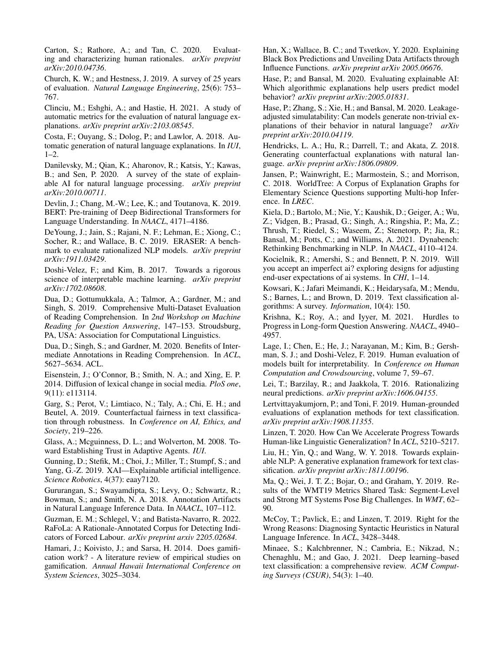Carton, S.; Rathore, A.; and Tan, C. 2020. Evaluating and characterizing human rationales. *arXiv preprint arXiv:2010.04736*.

Church, K. W.; and Hestness, J. 2019. A survey of 25 years of evaluation. *Natural Language Engineering*, 25(6): 753– 767.

Clinciu, M.; Eshghi, A.; and Hastie, H. 2021. A study of automatic metrics for the evaluation of natural language explanations. *arXiv preprint arXiv:2103.08545*.

Costa, F.; Ouyang, S.; Dolog, P.; and Lawlor, A. 2018. Automatic generation of natural language explanations. In *IUI*, 1–2.

Danilevsky, M.; Qian, K.; Aharonov, R.; Katsis, Y.; Kawas, B.; and Sen, P. 2020. A survey of the state of explainable AI for natural language processing. *arXiv preprint arXiv:2010.00711*.

Devlin, J.; Chang, M.-W.; Lee, K.; and Toutanova, K. 2019. BERT: Pre-training of Deep Bidirectional Transformers for Language Understanding. In *NAACL*, 4171–4186.

DeYoung, J.; Jain, S.; Rajani, N. F.; Lehman, E.; Xiong, C.; Socher, R.; and Wallace, B. C. 2019. ERASER: A benchmark to evaluate rationalized NLP models. *arXiv preprint arXiv:1911.03429*.

Doshi-Velez, F.; and Kim, B. 2017. Towards a rigorous science of interpretable machine learning. *arXiv preprint arXiv:1702.08608*.

Dua, D.; Gottumukkala, A.; Talmor, A.; Gardner, M.; and Singh, S. 2019. Comprehensive Multi-Dataset Evaluation of Reading Comprehension. In *2nd Workshop on Machine Reading for Question Answering*, 147–153. Stroudsburg, PA, USA: Association for Computational Linguistics.

Dua, D.; Singh, S.; and Gardner, M. 2020. Benefits of Intermediate Annotations in Reading Comprehension. In *ACL*, 5627–5634. ACL.

Eisenstein, J.; O'Connor, B.; Smith, N. A.; and Xing, E. P. 2014. Diffusion of lexical change in social media. *PloS one*, 9(11): e113114.

Garg, S.; Perot, V.; Limtiaco, N.; Taly, A.; Chi, E. H.; and Beutel, A. 2019. Counterfactual fairness in text classification through robustness. In *Conference on AI, Ethics, and Society*, 219–226.

Glass, A.; Mcguinness, D. L.; and Wolverton, M. 2008. Toward Establishing Trust in Adaptive Agents. *IUI*.

Gunning, D.; Stefik, M.; Choi, J.; Miller, T.; Stumpf, S.; and Yang, G.-Z. 2019. XAI—Explainable artificial intelligence. *Science Robotics*, 4(37): eaay7120.

Gururangan, S.; Swayamdipta, S.; Levy, O.; Schwartz, R.; Bowman, S.; and Smith, N. A. 2018. Annotation Artifacts in Natural Language Inference Data. In *NAACL*, 107–112.

Guzman, E. M.; Schlegel, V.; and Batista-Navarro, R. 2022. RaFoLa: A Rationale-Annotated Corpus for Detecting Indicators of Forced Labour. *arXiv preprint arxiv 2205.02684*.

Hamari, J.; Koivisto, J.; and Sarsa, H. 2014. Does gamification work? - A literature review of empirical studies on gamification. *Annual Hawaii International Conference on System Sciences*, 3025–3034.

Han, X.; Wallace, B. C.; and Tsvetkov, Y. 2020. Explaining Black Box Predictions and Unveiling Data Artifacts through Influence Functions. *arXiv preprint arXiv 2005.06676*.

Hase, P.; and Bansal, M. 2020. Evaluating explainable AI: Which algorithmic explanations help users predict model behavior? *arXiv preprint arXiv:2005.01831*.

Hase, P.; Zhang, S.; Xie, H.; and Bansal, M. 2020. Leakageadjusted simulatability: Can models generate non-trivial explanations of their behavior in natural language? *arXiv preprint arXiv:2010.04119*.

Hendricks, L. A.; Hu, R.; Darrell, T.; and Akata, Z. 2018. Generating counterfactual explanations with natural language. *arXiv preprint arXiv:1806.09809*.

Jansen, P.; Wainwright, E.; Marmostein, S.; and Morrison, C. 2018. WorldTree: A Corpus of Explanation Graphs for Elementary Science Questions supporting Multi-hop Inference. In *LREC*.

Kiela, D.; Bartolo, M.; Nie, Y.; Kaushik, D.; Geiger, A.; Wu, Z.; Vidgen, B.; Prasad, G.; Singh, A.; Ringshia, P.; Ma, Z.; Thrush, T.; Riedel, S.; Waseem, Z.; Stenetorp, P.; Jia, R.; Bansal, M.; Potts, C.; and Williams, A. 2021. Dynabench: Rethinking Benchmarking in NLP. In *NAACL*, 4110–4124.

Kocielnik, R.; Amershi, S.; and Bennett, P. N. 2019. Will you accept an imperfect ai? exploring designs for adjusting end-user expectations of ai systems. In *CHI*, 1–14.

Kowsari, K.; Jafari Meimandi, K.; Heidarysafa, M.; Mendu, S.; Barnes, L.; and Brown, D. 2019. Text classification algorithms: A survey. *Information*, 10(4): 150.

Krishna, K.; Roy, A.; and Iyyer, M. 2021. Hurdles to Progress in Long-form Question Answering. *NAACL*, 4940– 4957.

Lage, I.; Chen, E.; He, J.; Narayanan, M.; Kim, B.; Gershman, S. J.; and Doshi-Velez, F. 2019. Human evaluation of models built for interpretability. In *Conference on Human Computation and Crowdsourcing*, volume 7, 59–67.

Lei, T.; Barzilay, R.; and Jaakkola, T. 2016. Rationalizing neural predictions. *arXiv preprint arXiv:1606.04155*.

Lertvittayakumjorn, P.; and Toni, F. 2019. Human-grounded evaluations of explanation methods for text classification. *arXiv preprint arXiv:1908.11355*.

Linzen, T. 2020. How Can We Accelerate Progress Towards Human-like Linguistic Generalization? In *ACL*, 5210–5217. Liu, H.; Yin, Q.; and Wang, W. Y. 2018. Towards explainable NLP: A generative explanation framework for text classification. *arXiv preprint arXiv:1811.00196*.

Ma, Q.; Wei, J. T. Z.; Bojar, O.; and Graham, Y. 2019. Results of the WMT19 Metrics Shared Task: Segment-Level and Strong MT Systems Pose Big Challenges. In *WMT*, 62– 90.

McCoy, T.; Pavlick, E.; and Linzen, T. 2019. Right for the Wrong Reasons: Diagnosing Syntactic Heuristics in Natural Language Inference. In *ACL*, 3428–3448.

Minaee, S.; Kalchbrenner, N.; Cambria, E.; Nikzad, N.; Chenaghlu, M.; and Gao, J. 2021. Deep learning–based text classification: a comprehensive review. *ACM Computing Surveys (CSUR)*, 54(3): 1–40.